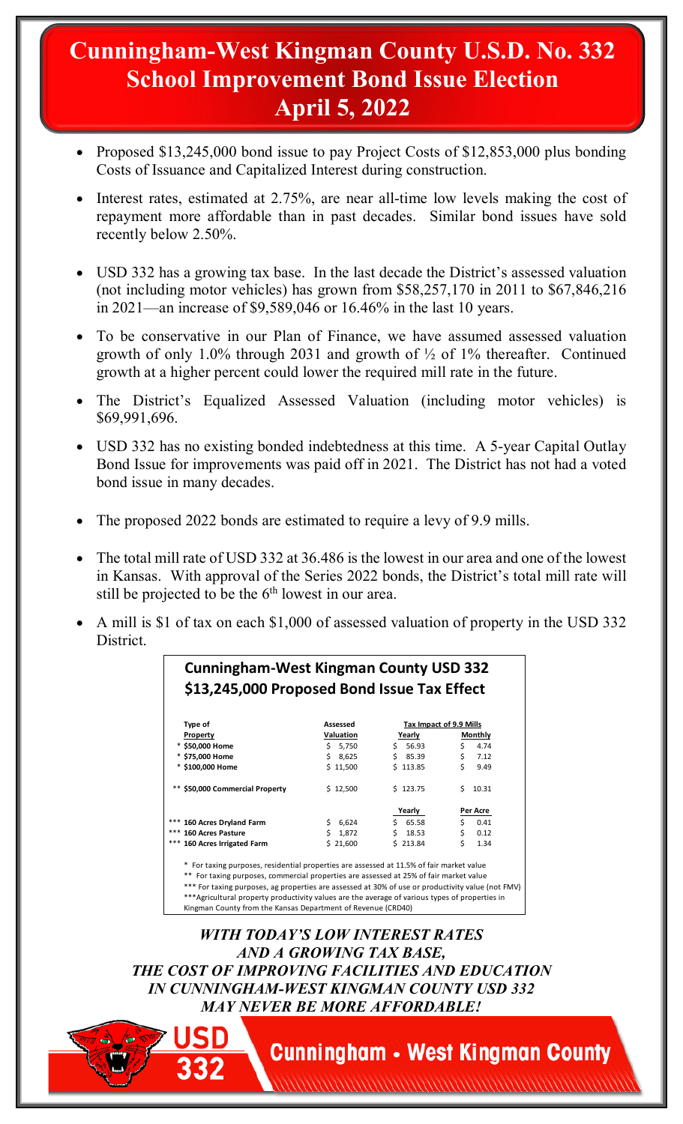## **Cunningham-West Kingman County U.S.D. No. 332 School Improvement Bond Issue Election April 5, 2022**

- Proposed \$13,245,000 bond issue to pay Project Costs of \$12,853,000 plus bonding Costs of Issuance and Capitalized Interest during construction.
- Interest rates, estimated at 2.75%, are near all-time low levels making the cost of repayment more affordable than in past decades. Similar bond issues have sold recently below 2.50%.
- USD 332 has a growing tax base. In the last decade the District's assessed valuation (not including motor vehicles) has grown from \$58,257,170 in 2011 to \$67,846,216 in 2021—an increase of \$9,589,046 or 16.46% in the last 10 years.
- To be conservative in our Plan of Finance, we have assumed assessed valuation growth of only 1.0% through 2031 and growth of ½ of 1% thereafter. Continued growth at a higher percent could lower the required mill rate in the future.
- The District's Equalized Assessed Valuation (including motor vehicles) is \$69,991,696.
- USD 332 has no existing bonded indebtedness at this time. A 5-year Capital Outlay Bond Issue for improvements was paid off in 2021. The District has not had a voted bond issue in many decades.
- The proposed 2022 bonds are estimated to require a levy of 9.9 mills.
- The total mill rate of USD 332 at 36.486 is the lowest in our area and one of the lowest in Kansas. With approval of the Series 2022 bonds, the District's total mill rate will still be projected to be the  $6<sup>th</sup>$  lowest in our area.
- A mill is \$1 of tax on each \$1,000 of assessed valuation of property in the USD 332 District.

| \$13,245,000 Proposed Bond Issue Tax Effect |           |          |                         |  |
|---------------------------------------------|-----------|----------|-------------------------|--|
|                                             |           |          |                         |  |
| Type of                                     | Assessed  |          | Tax Impact of 9.9 Mills |  |
| Property                                    | Valuation | Yearly   | Monthly                 |  |
| * \$50,000 Home                             | \$ 5,750  | \$56.93  | Ś.<br>4.74              |  |
| * \$75,000 Home                             | \$8,625   | \$85.39  | \$<br>7.12              |  |
| * \$100,000 Home                            | \$11,500  | \$113.85 | \$.<br>9.49             |  |
| ** \$50,000 Commercial Property             | \$12,500  | \$123.75 | \$10.31                 |  |
|                                             |           | Yearly   | Per Acre                |  |
| *** 160 Acres Dryland Farm                  | \$6,624   | \$65.58  | Ś.<br>0.41              |  |
| *** 160 Acres Pasture                       | \$1,872   | \$18.53  | \$<br>0.12              |  |
| *** 160 Acres Irrigated Farm                | \$21,600  | \$213.84 | Ś.<br>1.34              |  |

\*\*\*Agricultural property productivity values are the average of various types of properties in Kingman County from the Kansas Department of Revenue (CRD40)

*WITH TODAY'S LOW INTEREST RATES AND A GROWING TAX BASE, THE COST OF IMPROVING FACILITIES AND EDUCATION IN CUNNINGHAM-WEST KINGMAN COUNTY USD 332 MAY NEVER BE MORE AFFORDABLE!*

**Cunningham • West Kingman County**